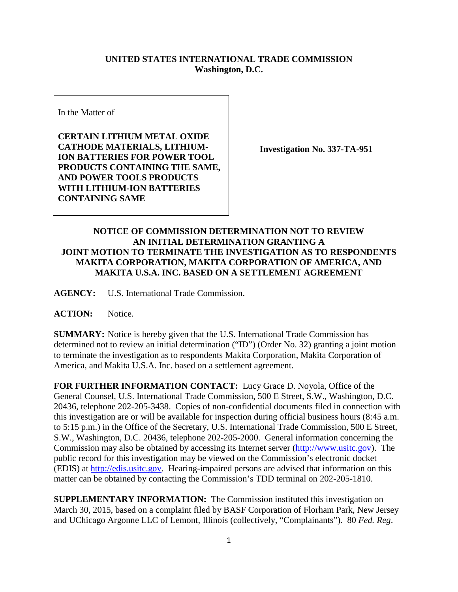## **UNITED STATES INTERNATIONAL TRADE COMMISSION Washington, D.C.**

In the Matter of

**CERTAIN LITHIUM METAL OXIDE CATHODE MATERIALS, LITHIUM-ION BATTERIES FOR POWER TOOL PRODUCTS CONTAINING THE SAME, AND POWER TOOLS PRODUCTS WITH LITHIUM-ION BATTERIES CONTAINING SAME**

**Investigation No. 337-TA-951**

## **NOTICE OF COMMISSION DETERMINATION NOT TO REVIEW AN INITIAL DETERMINATION GRANTING A JOINT MOTION TO TERMINATE THE INVESTIGATION AS TO RESPONDENTS MAKITA CORPORATION, MAKITA CORPORATION OF AMERICA, AND MAKITA U.S.A. INC. BASED ON A SETTLEMENT AGREEMENT**

**AGENCY:** U.S. International Trade Commission.

**ACTION:** Notice.

**SUMMARY:** Notice is hereby given that the U.S. International Trade Commission has determined not to review an initial determination ("ID") (Order No. 32) granting a joint motion to terminate the investigation as to respondents Makita Corporation, Makita Corporation of America, and Makita U.S.A. Inc. based on a settlement agreement.

**FOR FURTHER INFORMATION CONTACT:** Lucy Grace D. Noyola, Office of the General Counsel, U.S. International Trade Commission, 500 E Street, S.W., Washington, D.C. 20436, telephone 202-205-3438. Copies of non-confidential documents filed in connection with this investigation are or will be available for inspection during official business hours (8:45 a.m. to 5:15 p.m.) in the Office of the Secretary, U.S. International Trade Commission, 500 E Street, S.W., Washington, D.C. 20436, telephone 202-205-2000. General information concerning the Commission may also be obtained by accessing its Internet server [\(http://www.usitc.gov\)](http://www.usitc.gov/). The public record for this investigation may be viewed on the Commission's electronic docket (EDIS) at [http://edis.usitc.gov.](http://edis.usitc.gov/) Hearing-impaired persons are advised that information on this matter can be obtained by contacting the Commission's TDD terminal on 202-205-1810.

**SUPPLEMENTARY INFORMATION:** The Commission instituted this investigation on March 30, 2015, based on a complaint filed by BASF Corporation of Florham Park, New Jersey and UChicago Argonne LLC of Lemont, Illinois (collectively, "Complainants"). 80 *Fed. Reg*.